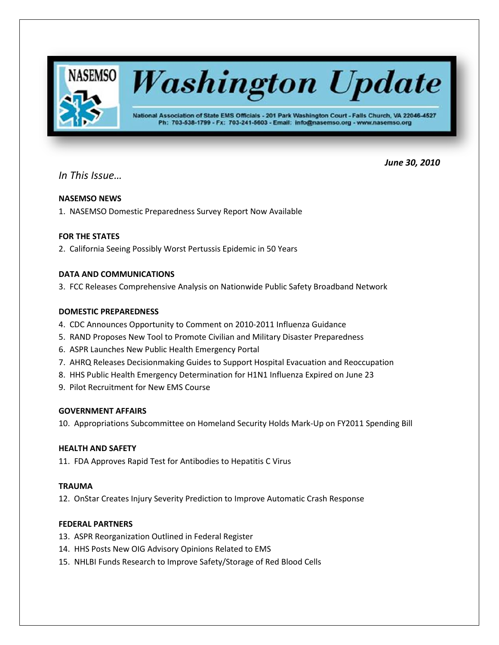

*In This Issue…*

 *June 30, 2010*

# **NASEMSO NEWS**

1. NASEMSO Domestic Preparedness Survey Report Now Available

# **FOR THE STATES**

2. California Seeing Possibly Worst Pertussis Epidemic in 50 Years

# **DATA AND COMMUNICATIONS**

3. FCC Releases Comprehensive Analysis on Nationwide Public Safety Broadband Network

# **DOMESTIC PREPAREDNESS**

- 4. CDC Announces Opportunity to Comment on 2010-2011 Influenza Guidance
- 5. RAND Proposes New Tool to Promote Civilian and Military Disaster Preparedness
- 6. ASPR Launches New Public Health Emergency Portal
- 7. AHRQ Releases Decisionmaking Guides to Support Hospital Evacuation and Reoccupation
- 8. HHS Public Health Emergency Determination for H1N1 Influenza Expired on June 23
- 9. Pilot Recruitment for New EMS Course

# **GOVERNMENT AFFAIRS**

10. Appropriations Subcommittee on Homeland Security Holds Mark-Up on FY2011 Spending Bill

# **HEALTH AND SAFETY**

11. FDA Approves Rapid Test for Antibodies to Hepatitis C Virus

# **TRAUMA**

12. OnStar Creates Injury Severity Prediction to Improve Automatic Crash Response

# **FEDERAL PARTNERS**

- 13. ASPR Reorganization Outlined in Federal Register
- 14. HHS Posts New OIG Advisory Opinions Related to EMS
- 15. NHLBI Funds Research to Improve Safety/Storage of Red Blood Cells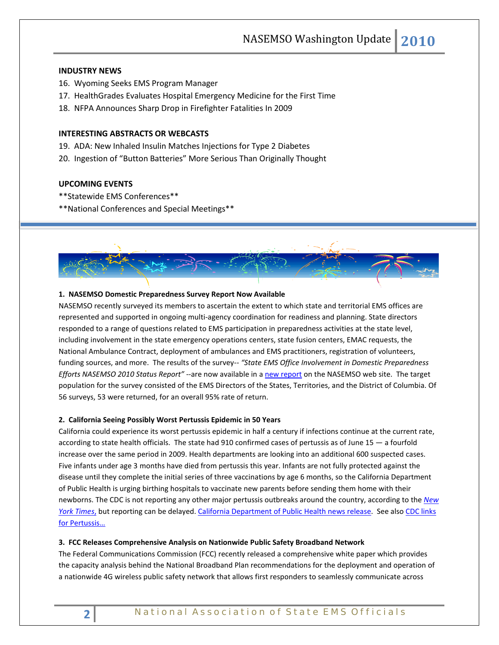## **INDUSTRY NEWS**

- 16. Wyoming Seeks EMS Program Manager
- 17. HealthGrades Evaluates Hospital Emergency Medicine for the First Time
- 18. NFPA Announces Sharp Drop in Firefighter Fatalities In 2009

# **INTERESTING ABSTRACTS OR WEBCASTS**

- 19. ADA: New Inhaled Insulin Matches Injections for Type 2 Diabetes
- 20. Ingestion of "Button Batteries" More Serious Than Originally Thought

# **UPCOMING EVENTS**

- \*\*Statewide EMS Conferences\*\*
- \*\*National Conferences and Special Meetings\*\*



# **1. NASEMSO Domestic Preparedness Survey Report Now Available**

NASEMSO recently surveyed its members to ascertain the extent to which state and territorial EMS offices are represented and supported in ongoing multi-agency coordination for readiness and planning. State directors responded to a range of questions related to EMS participation in preparedness activities at the state level, including involvement in the state emergency operations centers, state fusion centers, EMAC requests, the National Ambulance Contract, deployment of ambulances and EMS practitioners, registration of volunteers, funding sources, and more. The results of the survey-- "State EMS Office Involvement in Domestic Preparedness *Efforts NASEMSO 2010 Status Report"* --are now available in a [new report](http://www.nasemso.org/NewsAndPublications/News/Reports.asp) on the NASEMSO web site. The target population for the survey consisted of the EMS Directors of the States, Territories, and the District of Columbia. Of 56 surveys, 53 were returned, for an overall 95% rate of return.

### **2. California Seeing Possibly Worst Pertussis Epidemic in 50 Years**

California could experience its worst pertussis epidemic in half a century if infections continue at the current rate, according to state health officials. The state had 910 confirmed cases of pertussis as of June 15 — a fourfold increase over the same period in 2009. Health departments are looking into an additional 600 suspected cases. Five infants under age 3 months have died from pertussis this year. Infants are not fully protected against the disease until they complete the initial series of three vaccinations by age 6 months, so the California Department of Public Health is urging birthing hospitals to vaccinate new parents before sending them home with their newborns. The CDC is not reporting any other major pertussis outbreaks around the country, according to the *[New](http://www.nytimes.com/2010/06/24/us/24cough.html)  [York Times](http://www.nytimes.com/2010/06/24/us/24cough.html)*, but reporting can be delayed. [California Department of Public Health news release.](http://www.cdph.ca.gov/Pages/NR10-041.aspx) See also [CDC links](http://www.cdc.gov/ncidod/dbmd/diseaseinfo/pertussis_a.htm)  [for Pertussis…](http://www.cdc.gov/ncidod/dbmd/diseaseinfo/pertussis_a.htm)

### **3. FCC Releases Comprehensive Analysis on Nationwide Public Safety Broadband Network**

The Federal Communications Commission (FCC) recently released a comprehensive white paper which provides the capacity analysis behind the National Broadband Plan recommendations for the deployment and operation of a nationwide 4G wireless public safety network that allows first responders to seamlessly communicate across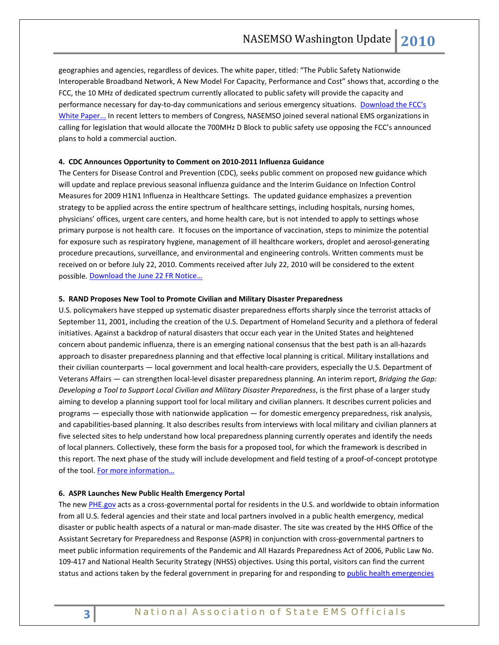geographies and agencies, regardless of devices. The white paper, titled: "The Public Safety Nationwide Interoperable Broadband Network, A New Model For Capacity, Performance and Cost" shows that, according o the FCC, the 10 MHz of dedicated spectrum currently allocated to public safety will provide the capacity and performance necessary for day-to-day communications and serious emergency situations. Download the FCC's [White Paper...](http://hraunfoss.fcc.gov/edocs_public/attachmatch/DOC-298799A1.pdf) In recent letters to members of Congress, NASEMSO joined several national EMS organizations in calling for legislation that would allocate the 700MHz D Block to public safety use opposing the FCC's announced plans to hold a commercial auction.

### **4. CDC Announces Opportunity to Comment on 2010-2011 Influenza Guidance**

The Centers for Disease Control and Prevention (CDC), seeks public comment on proposed new guidance which will update and replace previous seasonal influenza guidance and the Interim Guidance on Infection Control Measures for 2009 H1N1 Influenza in Healthcare Settings. The updated guidance emphasizes a prevention strategy to be applied across the entire spectrum of healthcare settings, including hospitals, nursing homes, physicians' offices, urgent care centers, and home health care, but is not intended to apply to settings whose primary purpose is not health care. It focuses on the importance of vaccination, steps to minimize the potential for exposure such as respiratory hygiene, management of ill healthcare workers, droplet and aerosol-generating procedure precautions, surveillance, and environmental and engineering controls. Written comments must be received on or before July 22, 2010. Comments received after July 22, 2010 will be considered to the extent possible. [Download the June 22 FR Notice…](http://frwebgate3.access.gpo.gov/cgi-bin/PDFgate.cgi?WAISdocID=yXiF1b/0/2/0&WAISaction=retrieve)

#### **5. RAND Proposes New Tool to Promote Civilian and Military Disaster Preparedness**

U.S. policymakers have stepped up systematic disaster preparedness efforts sharply since the terrorist attacks of September 11, 2001, including the creation of the U.S. Department of Homeland Security and a plethora of federal initiatives. Against a backdrop of natural disasters that occur each year in the United States and heightened concern about pandemic influenza, there is an emerging national consensus that the best path is an all-hazards approach to disaster preparedness planning and that effective local planning is critical. Military installations and their civilian counterparts — local government and local health-care providers, especially the U.S. Department of Veterans Affairs — can strengthen local-level disaster preparedness planning. An interim report, *Bridging the Gap: Developing a Tool to Support Local Civilian and Military Disaster Preparedness*, is the first phase of a larger study aiming to develop a planning support tool for local military and civilian planners. It describes current policies and programs — especially those with nationwide application — for domestic emergency preparedness, risk analysis, and capabilities-based planning. It also describes results from interviews with local military and civilian planners at five selected sites to help understand how local preparedness planning currently operates and identify the needs of local planners. Collectively, these form the basis for a proposed tool, for which the framework is described in this report. The next phase of the study will include development and field testing of a proof-of-concept prototype of the tool. For more information...

### **6. ASPR Launches New Public Health Emergency Portal**

The new [PHE.gov](http://www.phe.gov/) acts as a cross-governmental portal for residents in the U.S. and worldwide to obtain information from all U.S. federal agencies and their state and local partners involved in a public health emergency, medical disaster or public health aspects of a natural or man-made disaster. The site was created by the HHS Office of the Assistant Secretary for Preparedness and Response (ASPR) in conjunction with cross-governmental partners to meet public information requirements of the Pandemic and All Hazards Preparedness Act of 2006, Public Law No. 109-417 and National Health Security Strategy (NHSS) objectives. Using this portal, visitors can find the current status and actions taken by the federal government in preparing for and responding to public health emergencies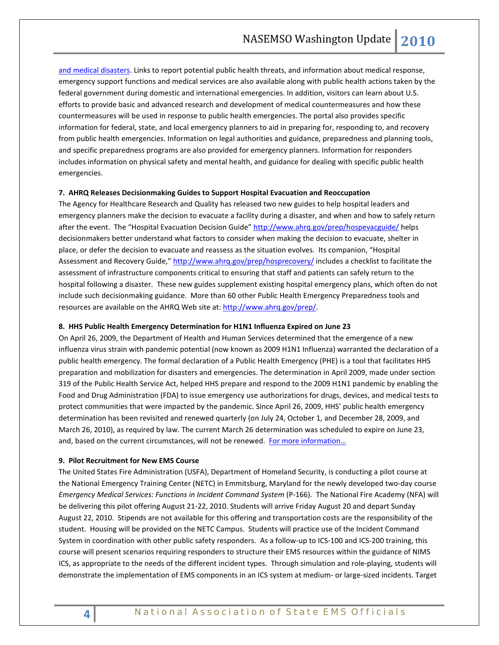and medical disasters. Links to report potential public health threats, and information about medical response, emergency support functions and medical services are also available along with public health actions taken by the federal government during domestic and international emergencies. In addition, visitors can learn about U.S. efforts to provide basic and advanced research and development of medical countermeasures and how these countermeasures will be used in response to public health emergencies. The portal also provides specific information for federal, state, and local emergency planners to aid in preparing for, responding to, and recovery from public health emergencies. Information on legal authorities and guidance, preparedness and planning tools, and specific preparedness programs are also provided for emergency planners. Information for responders includes information on physical safety and mental health, and guidance for dealing with specific public health emergencies.

## **7. AHRQ Releases Decisionmaking Guides to Support Hospital Evacuation and Reoccupation**

The Agency for Healthcare Research and Quality has released two new guides to help hospital leaders and emergency planners make the decision to evacuate a facility during a disaster, and when and how to safely return after the event. The "Hospital Evacuation Decision Guide"<http://www.ahrq.gov/prep/hospevacguide/> helps decisionmakers better understand what factors to consider when making the decision to evacuate, shelter in place, or defer the decision to evacuate and reassess as the situation evolves. Its companion, "Hospital Assessment and Recovery Guide,[" http://www.ahrq.gov/prep/hosprecovery/](http://www.ahrq.gov/prep/hosprecovery/) includes a checklist to facilitate the assessment of infrastructure components critical to ensuring that staff and patients can safely return to the hospital following a disaster. These new guides supplement existing hospital emergency plans, which often do not include such decisionmaking guidance. More than 60 other Public Health Emergency Preparedness tools and resources are available on the AHRQ Web site at: [http://www.ahrq.gov/prep/.](http://www.ahrq.gov/prep/)

### **8. HHS Public Health Emergency Determination for H1N1 Influenza Expired on June 23**

On April 26, 2009, the Department of Health and Human Services determined that the emergence of a new influenza virus strain with pandemic potential (now known as 2009 H1N1 Influenza) warranted the declaration of a public health emergency. The formal declaration of a Public Health Emergency (PHE) is a tool that facilitates HHS preparation and mobilization for disasters and emergencies. The determination in April 2009, made under section 319 of the Public Health Service Act, helped HHS prepare and respond to the 2009 H1N1 pandemic by enabling the Food and Drug Administration (FDA) to issue emergency use authorizations for drugs, devices, and medical tests to protect communities that were impacted by the pandemic. Since April 26, 2009, HHS' public health emergency determination has been revisited and renewed quarterly (on July 24, October 1, and December 28, 2009, and March 26, 2010), as required by law. The current March 26 determination was scheduled to expire on June 23, and, based on the current circumstances, will not be renewed. [For more information…](http://www.flu.gov/news/h1n1pheexpiration.html)

#### **9. Pilot Recruitment for New EMS Course**

The United States Fire Administration (USFA), Department of Homeland Security, is conducting a pilot course at the National Emergency Training Center (NETC) in Emmitsburg, Maryland for the newly developed two-day course *Emergency Medical Services: Functions in Incident Command System* (P-166). The National Fire Academy (NFA) will be delivering this pilot offering August 21-22, 2010. Students will arrive Friday August 20 and depart Sunday August 22, 2010. Stipends are not available for this offering and transportation costs are the responsibility of the student. Housing will be provided on the NETC Campus. Students will practice use of the Incident Command System in coordination with other public safety responders. As a follow-up to ICS-100 and ICS-200 training, this course will present scenarios requiring responders to structure their EMS resources within the guidance of NIMS ICS, as appropriate to the needs of the different incident types. Through simulation and role-playing, students will demonstrate the implementation of EMS components in an ICS system at medium- or large-sized incidents. Target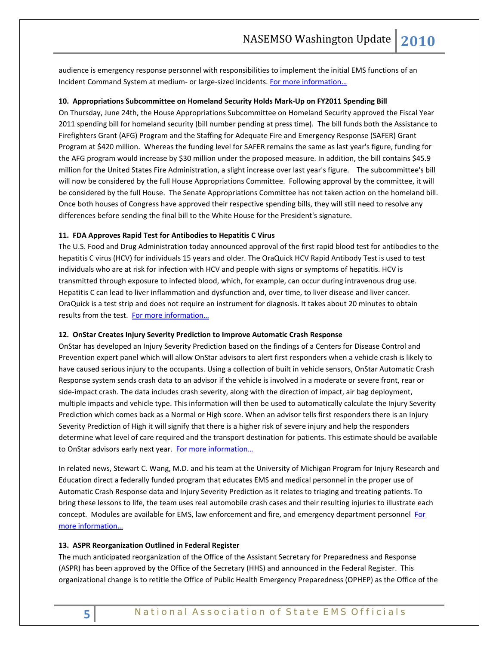audience is emergency response personnel with responsibilities to implement the initial EMS functions of an Incident Command System at medium- or large-sized incidents. [For more information…](http://www.fireengineering.com/index/articles/display/7723871883/articles/fire-engineering/fire-ems/2010/06/nfa-ems-course.html)

## **10. Appropriations Subcommittee on Homeland Security Holds Mark-Up on FY2011 Spending Bill**

On Thursday, June 24th, the House Appropriations Subcommittee on Homeland Security approved the Fiscal Year 2011 spending bill for homeland security (bill number pending at press time). The bill funds both the Assistance to Firefighters Grant (AFG) Program and the Staffing for Adequate Fire and Emergency Response (SAFER) Grant Program at \$420 million. Whereas the funding level for SAFER remains the same as last year's figure, funding for the AFG program would increase by \$30 million under the proposed measure. In addition, the bill contains \$45.9 million for the United States Fire Administration, a slight increase over last year's figure. The subcommittee's bill will now be considered by the full House Appropriations Committee. Following approval by the committee, it will be considered by the full House. The Senate Appropriations Committee has not taken action on the homeland bill. Once both houses of Congress have approved their respective spending bills, they will still need to resolve any differences before sending the final bill to the White House for the President's signature.

### **11. FDA Approves Rapid Test for Antibodies to Hepatitis C Virus**

The U.S. Food and Drug Administration today announced approval of the first rapid blood test for antibodies to the hepatitis C virus (HCV) for individuals 15 years and older. The OraQuick HCV Rapid Antibody Test is used to test individuals who are at risk for infection with HCV and people with signs or symptoms of hepatitis. HCV is transmitted through exposure to infected blood, which, for example, can occur during intravenous drug use. Hepatitis C can lead to liver inflammation and dysfunction and, over time, to liver disease and liver cancer. OraQuick is a test strip and does not require an instrument for diagnosis. It takes about 20 minutes to obtain results from the test. For more information...

#### **12. OnStar Creates Injury Severity Prediction to Improve Automatic Crash Response**

OnStar has developed an Injury Severity Prediction based on the findings of a Centers for Disease Control and Prevention expert panel which will allow OnStar advisors to alert first responders when a vehicle crash is likely to have caused serious injury to the occupants. Using a collection of built in vehicle sensors, OnStar Automatic Crash Response system sends crash data to an advisor if the vehicle is involved in a moderate or severe front, rear or side-impact crash. The data includes crash severity, along with the direction of impact, air bag deployment, multiple impacts and vehicle type. This information will then be used to automatically calculate the Injury Severity Prediction which comes back as a Normal or High score. When an advisor tells first responders there is an Injury Severity Prediction of High it will signify that there is a higher risk of severe injury and help the responders determine what level of care required and the transport destination for patients. This estimate should be available to OnStar advisors early next year. [For more information…](http://www.onstar.com/web/portal/pressrelease?articleID=235302)

In related news, Stewart C. Wang, M.D. and his team at the University of Michigan Program for Injury Research and Education direct a federally funded program that educates EMS and medical personnel in the proper use of Automatic Crash Response data and Injury Severity Prediction as it relates to triaging and treating patients. To bring these lessons to life, the team uses real automobile crash cases and their resulting injuries to illustrate each concept. Modules are available for EMS, law enforcement and fire, and emergency department personnel For [more information…](http://www.crashedu.org/)

### **13. ASPR Reorganization Outlined in Federal Register**

The much anticipated reorganization of the Office of the Assistant Secretary for Preparedness and Response (ASPR) has been approved by the Office of the Secretary (HHS) and announced in the Federal Register. This organizational change is to retitle the Office of Public Health Emergency Preparedness (OPHEP) as the Office of the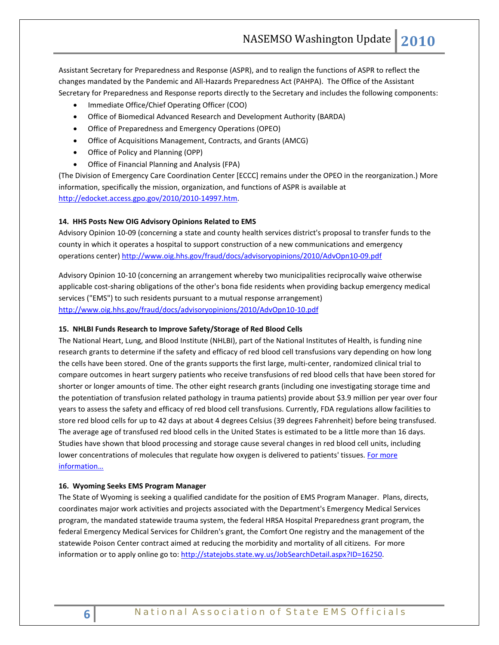Assistant Secretary for Preparedness and Response (ASPR), and to realign the functions of ASPR to reflect the changes mandated by the Pandemic and All-Hazards Preparedness Act (PAHPA). The Office of the Assistant Secretary for Preparedness and Response reports directly to the Secretary and includes the following components:

- Immediate Office/Chief Operating Officer (COO)
- Office of Biomedical Advanced Research and Development Authority (BARDA)
- Office of Preparedness and Emergency Operations (OPEO)
- Office of Acquisitions Management, Contracts, and Grants (AMCG)
- Office of Policy and Planning (OPP)
- Office of Financial Planning and Analysis (FPA)

(The Division of Emergency Care Coordination Center [ECCC] remains under the OPEO in the reorganization.) More information, specifically the mission, organization, and functions of ASPR is available at [http://edocket.access.gpo.gov/2010/2010-14997.htm.](http://edocket.access.gpo.gov/2010/2010-14997.htm) 

# **14. HHS Posts New OIG Advisory Opinions Related to EMS**

Advisory Opinion 10-09 (concerning a state and county health services district's proposal to transfer funds to the county in which it operates a hospital to support construction of a new communications and emergency operations center[\) http://www.oig.hhs.gov/fraud/docs/advisoryopinions/2010/AdvOpn10-09.pdf](http://www.oig.hhs.gov/fraud/docs/advisoryopinions/2010/AdvOpn10-09.pdf)

Advisory Opinion 10-10 (concerning an arrangement whereby two municipalities reciprocally waive otherwise applicable cost-sharing obligations of the other's bona fide residents when providing backup emergency medical services ("EMS") to such residents pursuant to a mutual response arrangement) <http://www.oig.hhs.gov/fraud/docs/advisoryopinions/2010/AdvOpn10-10.pdf>

# **15. NHLBI Funds Research to Improve Safety/Storage of Red Blood Cells**

The National Heart, Lung, and Blood Institute (NHLBI), part of the National Institutes of Health, is funding nine research grants to determine if the safety and efficacy of red blood cell transfusions vary depending on how long the cells have been stored. One of the grants supports the first large, multi-center, randomized clinical trial to compare outcomes in heart surgery patients who receive transfusions of red blood cells that have been stored for shorter or longer amounts of time. The other eight research grants (including one investigating storage time and the potentiation of transfusion related pathology in trauma patients) provide about \$3.9 million per year over four years to assess the safety and efficacy of red blood cell transfusions. Currently, FDA regulations allow facilities to store red blood cells for up to 42 days at about 4 degrees Celsius (39 degrees Fahrenheit) before being transfused. The average age of transfused red blood cells in the United States is estimated to be a little more than 16 days. Studies have shown that blood processing and storage cause several changes in red blood cell units, including lower concentrations of molecules that regulate how oxygen is delivered to patients' tissues. For more [information…](http://www.nih.gov/news/health/jun2010/nhlbi-21.htm)

# **16. Wyoming Seeks EMS Program Manager**

The State of Wyoming is seeking a qualified candidate for the position of EMS Program Manager. Plans, directs, coordinates major work activities and projects associated with the Department's Emergency Medical Services program, the mandated statewide trauma system, the federal HRSA Hospital Preparedness grant program, the federal Emergency Medical Services for Children's grant, the Comfort One registry and the management of the statewide Poison Center contract aimed at reducing the morbidity and mortality of all citizens. For more information or to apply online go to: [http://statejobs.state.wy.us/JobSearchDetail.aspx?ID=16250.](http://statejobs.state.wy.us/JobSearchDetail.aspx?ID=16250)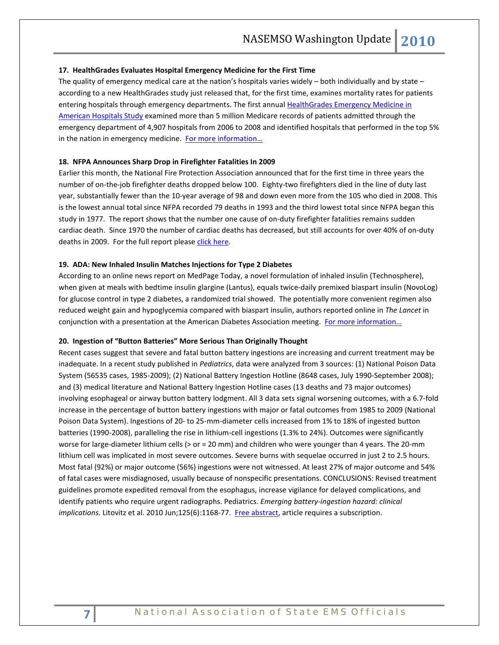#### **17. HealthGrades Evaluates Hospital Emergency Medicine for the First Time**

The quality of emergency medical care at the nation's hospitals varies widely – both individually and by state – according to a new HealthGrades study just released that, for the first time, examines mortality rates for patients entering hospitals through emergency departments. The first annual HealthGrades Emergency Medicine in [American Hospitals Study](http://www.healthgrades.com/business/img/HealthGradesEmergencyMedicineStudy2010.pdf) examined more than 5 million Medicare records of patients admitted through the emergency department of 4,907 hospitals from 2006 to 2008 and identified hospitals that performed in the top 5% in the nation in emergency medicine. For more information...

### **18. NFPA Announces Sharp Drop in Firefighter Fatalities In 2009**

Earlier this month, the National Fire Protection Association announced that for the first time in three years the number of on-the-job firefighter deaths dropped below 100. Eighty-two firefighters died in the line of duty last year, substantially fewer than the 10-year average of 98 and down even more from the 105 who died in 2008. This is the lowest annual total since NFPA recorded 79 deaths in 1993 and the third lowest total since NFPA began this study in 1977. The report shows that the number one cause of on-duty firefighter fatalities remains sudden cardiac death. Since 1970 the number of cardiac deaths has decreased, but still accounts for over 40% of on-duty deaths in 2009. For the full report please [click here.](http://r20.rs6.net/tn.jsp?et=1103515843375&s=947&e=001YMiv5znGz7omJqEAbByYl9tmTKt-zwH7MI9C1SsNgDqoXFywa_kJlrIxgWybbvQvgnWrloPtSIpwihA7H8WQdeHLvfJ3Rbgx3NoOfKl1QVkZutHcp6eibN2mbdAxbLFv-DKsN5V-SQxfZH_VTIvDqA==)

### **19. ADA: New Inhaled Insulin Matches Injections for Type 2 Diabetes**

According to an online news report on MedPage Today, a novel formulation of inhaled insulin (Technosphere), when given at meals with bedtime insulin glargine (Lantus), equals twice-daily premixed biaspart insulin (NovoLog) for glucose control in type 2 diabetes, a randomized trial showed. The potentially more convenient regimen also reduced weight gain and hypoglycemia compared with biaspart insulin, authors reported online in *The Lancet* in conjunction with a presentation at the American Diabetes Association meeting. For more information...

### **20. Ingestion of "Button Batteries" More Serious Than Originally Thought**

Recent cases suggest that severe and fatal button battery ingestions are increasing and current treatment may be inadequate. In a recent study published in *Pediatrics*, data were analyzed from 3 sources: (1) National Poison Data System (56535 cases, 1985-2009); (2) National Battery Ingestion Hotline (8648 cases, July 1990-September 2008); and (3) medical literature and National Battery Ingestion Hotline cases (13 deaths and 73 major outcomes) involving esophageal or airway button battery lodgment. All 3 data sets signal worsening outcomes, with a 6.7-fold increase in the percentage of button battery ingestions with major or fatal outcomes from 1985 to 2009 (National Poison Data System). Ingestions of 20- to 25-mm-diameter cells increased from 1% to 18% of ingested button batteries (1990-2008), paralleling the rise in lithium-cell ingestions (1.3% to 24%). Outcomes were significantly worse for large-diameter lithium cells (> or = 20 mm) and children who were younger than 4 years. The 20-mm lithium cell was implicated in most severe outcomes. Severe burns with sequelae occurred in just 2 to 2.5 hours. Most fatal (92%) or major outcome (56%) ingestions were not witnessed. At least 27% of major outcome and 54% of fatal cases were misdiagnosed, usually because of nonspecific presentations. CONCLUSIONS: Revised treatment guidelines promote expedited removal from the esophagus, increase vigilance for delayed complications, and identify patients who require urgent radiographs. Pediatrics. *Emerging battery-ingestion hazard: clinical*  implications. Litovitz et al. 2010 Jun;125(6):1168-77. [Free abstract,](http://pediatrics.aappublications.org/cgi/content/abstract/125/6/1168?rss=1) article requires a subscription.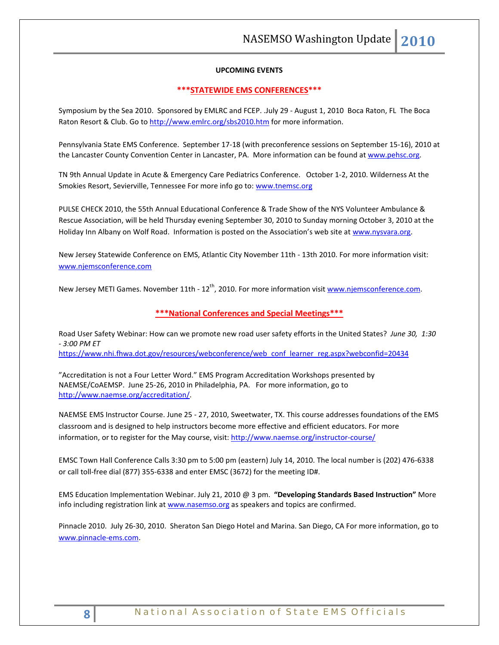## **UPCOMING EVENTS**

### **\*\*\*STATEWIDE EMS CONFERENCES\*\*\***

Symposium by the Sea 2010. Sponsored by EMLRC and FCEP. .July 29 - August 1, 2010 Boca Raton, FL The Boca Raton Resort & Club. Go to<http://www.emlrc.org/sbs2010.htm> for more information.

Pennsylvania State EMS Conference. September 17-18 (with preconference sessions on September 15-16), 2010 at the Lancaster County Convention Center in Lancaster, PA. More information can be found a[t www.pehsc.org.](http://www.pehsc.org/)

TN 9th Annual Update in Acute & Emergency Care Pediatrics Conference. October 1-2, 2010. Wilderness At the Smokies Resort, Sevierville, Tennessee For more info go to: [www.tnemsc.org](http://www.tnemsc.org/)

PULSE CHECK 2010, the 55th Annual Educational Conference & Trade Show of the NYS Volunteer Ambulance & Rescue Association, will be held Thursday evening September 30, 2010 to Sunday morning October 3, 2010 at the Holiday Inn Albany on Wolf Road. Information is posted on the Association's web site at [www.nysvara.org.](http://www.nysvara.org/)

New Jersey Statewide Conference on EMS, Atlantic City November 11th - 13th 2010. For more information visit: [www.njemsconference.com](http://www.njemsconference.com/)

New Jersey METI Games. November 11th - 12<sup>th</sup>, 2010. For more information visit [www.njemsconference.com.](http://www.njemsconference.com/)

# **\*\*\*National Conferences and Special Meetings\*\*\***

Road User Safety Webinar: How can we promote new road user safety efforts in the United States? *June 30, 1:30 - 3:00 PM ET*

[https://www.nhi.fhwa.dot.gov/resources/webconference/web\\_conf\\_learner\\_reg.aspx?webconfid=20434](https://www.nhi.fhwa.dot.gov/resources/webconference/web_conf_learner_reg.aspx?webconfid=20434)

"Accreditation is not a Four Letter Word." EMS Program Accreditation Workshops presented by NAEMSE/CoAEMSP. June 25-26, 2010 in Philadelphia, PA. For more information, go to [http://www.naemse.org/accreditation/.](http://www.naemse.org/accreditation/)

NAEMSE EMS Instructor Course. June 25 - 27, 2010, Sweetwater, TX. This course addresses foundations of the EMS classroom and is designed to help instructors become more effective and efficient educators. For more information, or to register for the May course, visit[: http://www.naemse.org/instructor-course/](http://www.naemse.org/instructor-course/)

EMSC Town Hall Conference Calls 3:30 pm to 5:00 pm (eastern) July 14, 2010. The local number is (202) 476-6338 or call toll-free dial (877) 355-6338 and enter EMSC (3672) for the meeting ID#.

EMS Education Implementation Webinar. July 21, 2010 @ 3 pm. **"Developing Standards Based Instruction"** More info including registration link a[t www.nasemso.org](http://www.nasemso.org/) as speakers and topics are confirmed.

Pinnacle 2010. July 26-30, 2010. Sheraton San Diego Hotel and Marina. San Diego, CA For more information, go to [www.pinnacle-ems.com.](http://www.pinnacle-ems.com/)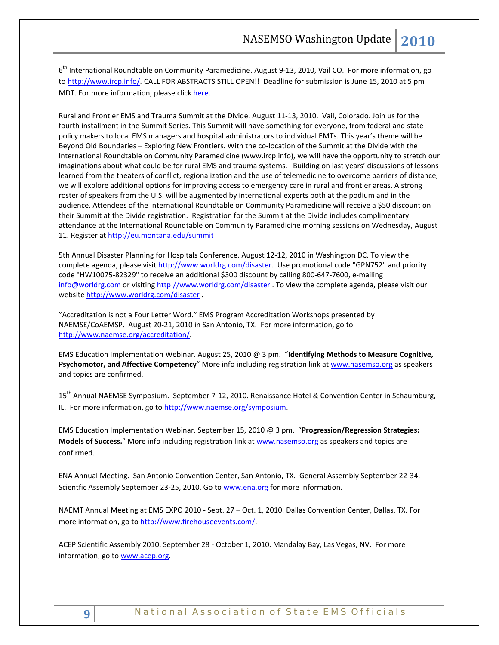6<sup>th</sup> International Roundtable on Community Paramedicine. August 9-13, 2010, Vail CO. For more information, go to [http://www.ircp.info/.](http://www.ircp.info/) CALL FOR ABSTRACTS STILL OPEN!! Deadline for submission is June 15, 2010 at 5 pm MDT. For more information, please click [here.](http://ircp.info/LinkClick.aspx?fileticket=mJB%2fkPjEeFc%3d&tabid=233&mid=730)

Rural and Frontier EMS and Trauma Summit at the Divide. August 11-13, 2010. Vail, Colorado. Join us for the fourth installment in the Summit Series. This Summit will have something for everyone, from federal and state policy makers to local EMS managers and hospital administrators to individual EMTs. This year's theme will be Beyond Old Boundaries – Exploring New Frontiers. With the co-location of the Summit at the Divide with the International Roundtable on Community Paramedicine (www.ircp.info), we will have the opportunity to stretch our imaginations about what could be for rural EMS and trauma systems. Building on last years' discussions of lessons learned from the theaters of conflict, regionalization and the use of telemedicine to overcome barriers of distance, we will explore additional options for improving access to emergency care in rural and frontier areas. A strong roster of speakers from the U.S. will be augmented by international experts both at the podium and in the audience. Attendees of the International Roundtable on Community Paramedicine will receive a \$50 discount on their Summit at the Divide registration. Registration for the Summit at the Divide includes complimentary attendance at the International Roundtable on Community Paramedicine morning sessions on Wednesday, August 11. Register a[t http://eu.montana.edu/summit](http://eu.montana.edu/summit)

5th Annual Disaster Planning for Hospitals Conference. August 12-12, 2010 in Washington DC. To view the complete agenda, please visit [http://www.worldrg.com/disaster.](http://econnect.dmsgs.com/t/8631688/83269114/258003/0/) Use promotional code "GPN752" and priority code "HW10075-82329" to receive an additional \$300 discount by calling 800-647-7600, e-mailing [info@worldrg.com](mailto:info@worldrg.com) or visitin[g http://www.worldrg.com/disaster](http://econnect.dmsgs.com/t/8631688/83269114/258003/0/)</u> . To view the complete agenda, please visit our website [http://www.worldrg.com/disaster](http://econnect.dmsgs.com/t/8631688/83269114/258003/0/) .

"Accreditation is not a Four Letter Word." EMS Program Accreditation Workshops presented by NAEMSE/CoAEMSP. August 20-21, 2010 in San Antonio, TX. For more information, go to [http://www.naemse.org/accreditation/.](http://www.naemse.org/accreditation/)

EMS Education Implementation Webinar. August 25, 2010 @ 3 pm. "**Identifying Methods to Measure Cognitive, Psychomotor, and Affective Competency**" More info including registration link at [www.nasemso.org](http://www.nasemso.org/) as speakers and topics are confirmed.

15<sup>th</sup> Annual NAEMSE Symposium. September 7-12, 2010. Renaissance Hotel & Convention Center in Schaumburg, IL. For more information, go to http://www.naemse.org/symposium.

EMS Education Implementation Webinar. September 15, 2010 @ 3 pm. "**Progression/Regression Strategies: Models of Success.**" More info including registration link at [www.nasemso.org](http://www.nasemso.org/) as speakers and topics are confirmed.

ENA Annual Meeting. San Antonio Convention Center, San Antonio, TX. General Assembly September 22-34, Scientfic Assembly September 23-25, 2010. Go to [www.ena.org](http://www.ena.org/) for more information.

NAEMT Annual Meeting at EMS EXPO 2010 - Sept. 27 – Oct. 1, 2010. Dallas Convention Center, Dallas, TX. For more information, go to [http://www.firehouseevents.com/.](http://www.firehouseevents.com/)

ACEP Scientific Assembly 2010. September 28 - October 1, 2010. Mandalay Bay, Las Vegas, NV. For more information, go to www.acep.org.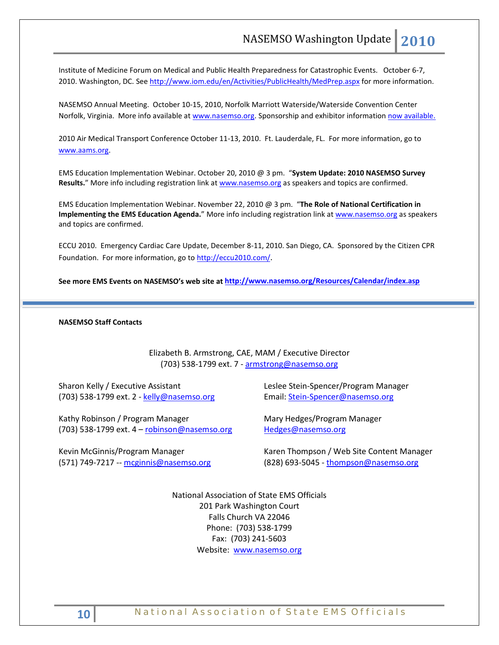Institute of Medicine Forum on Medical and Public Health Preparedness for Catastrophic Events. October 6-7, 2010. Washington, DC. See<http://www.iom.edu/en/Activities/PublicHealth/MedPrep.aspx> for more information.

NASEMSO Annual Meeting. October 10-15, 2010, Norfolk Marriott Waterside/Waterside Convention Center Norfolk, Virginia. More info available at [www.nasemso.org.](http://www.nasemso.org/) Sponsorship and exhibitor information [now available.](http://www.nasemso.org/Meetings/Annual/NASEMSO2010Sponsors-Exhibitors.asp)

2010 Air Medical Transport Conference October 11-13, 2010. Ft. Lauderdale, FL. For more information, go to [www.aams.org.](http://www.aams.org/) 

EMS Education Implementation Webinar. October 20, 2010 @ 3 pm. "**System Update: 2010 NASEMSO Survey**  Results." More info including registration link at [www.nasemso.org](http://www.nasemso.org/) as speakers and topics are confirmed.

EMS Education Implementation Webinar. November 22, 2010 @ 3 pm. "**The Role of National Certification in Implementing the EMS Education Agenda.**" More info including registration link at [www.nasemso.org](http://www.nasemso.org/) as speakers and topics are confirmed.

ECCU 2010. Emergency Cardiac Care Update, December 8-11, 2010. San Diego, CA. Sponsored by the Citizen CPR Foundation. For more information, go t[o http://eccu2010.com/.](http://eccu2010.com/)

**See more EMS Events on NASEMSO's web site at<http://www.nasemso.org/Resources/Calendar/index.asp>**

## **NASEMSO Staff Contacts**

Elizabeth B. Armstrong, CAE, MAM / Executive Director (703) 538-1799 ext. 7 - [armstrong@nasemso.org](mailto:armstrong@nasemso.org)

Sharon Kelly / Executive Assistant (703) 538-1799 ext. 2 - [kelly@nasemso.org](mailto:kelly@nasemso.org)

Kathy Robinson / Program Manager (703) 538-1799 ext. 4 – [robinson@nasemso.org](mailto:robinson@nasemso.org)

Kevin McGinnis/Program Manager (571) 749-7217 -- [mcginnis@nasemso.org](mailto:mcginnis@nasemso.org) Leslee Stein-Spencer/Program Manager Email: [Stein-Spencer@nasemso.org](mailto:Stein-Spencer@nasemso.org)

Mary Hedges/Program Manager [Hedges@nasemso.org](mailto:Hedges@nasemso.org)

Karen Thompson / Web Site Content Manager (828) 693-5045 - [thompson@nasemso.org](mailto:thompson@nasemso.org)

National Association of State EMS Officials 201 Park Washington Court Falls Church VA 22046 Phone: (703) 538-1799 Fax: (703) 241-5603 Website: [www.nasemso.org](http://www.nasemso.org/)